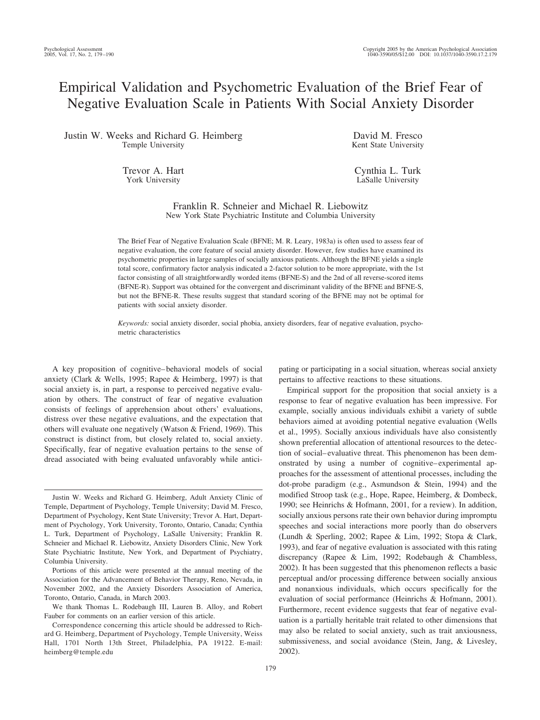# Empirical Validation and Psychometric Evaluation of the Brief Fear of Negative Evaluation Scale in Patients With Social Anxiety Disorder

Justin W. Weeks and Richard G. Heimberg Temple University

> Trevor A. Hart York University

David M. Fresco Kent State University

Cynthia L. Turk LaSalle University

Franklin R. Schneier and Michael R. Liebowitz New York State Psychiatric Institute and Columbia University

The Brief Fear of Negative Evaluation Scale (BFNE; M. R. Leary, 1983a) is often used to assess fear of negative evaluation, the core feature of social anxiety disorder. However, few studies have examined its psychometric properties in large samples of socially anxious patients. Although the BFNE yields a single total score, confirmatory factor analysis indicated a 2-factor solution to be more appropriate, with the 1st factor consisting of all straightforwardly worded items (BFNE-S) and the 2nd of all reverse-scored items (BFNE-R). Support was obtained for the convergent and discriminant validity of the BFNE and BFNE-S, but not the BFNE-R. These results suggest that standard scoring of the BFNE may not be optimal for patients with social anxiety disorder.

*Keywords:* social anxiety disorder, social phobia, anxiety disorders, fear of negative evaluation, psychometric characteristics

A key proposition of cognitive– behavioral models of social anxiety (Clark & Wells, 1995; Rapee & Heimberg, 1997) is that social anxiety is, in part, a response to perceived negative evaluation by others. The construct of fear of negative evaluation consists of feelings of apprehension about others' evaluations, distress over these negative evaluations, and the expectation that others will evaluate one negatively (Watson & Friend, 1969). This construct is distinct from, but closely related to, social anxiety. Specifically, fear of negative evaluation pertains to the sense of dread associated with being evaluated unfavorably while anticipating or participating in a social situation, whereas social anxiety pertains to affective reactions to these situations.

Empirical support for the proposition that social anxiety is a response to fear of negative evaluation has been impressive. For example, socially anxious individuals exhibit a variety of subtle behaviors aimed at avoiding potential negative evaluation (Wells et al., 1995). Socially anxious individuals have also consistently shown preferential allocation of attentional resources to the detection of social– evaluative threat. This phenomenon has been demonstrated by using a number of cognitive– experimental approaches for the assessment of attentional processes, including the dot-probe paradigm (e.g., Asmundson & Stein, 1994) and the modified Stroop task (e.g., Hope, Rapee, Heimberg, & Dombeck, 1990; see Heinrichs & Hofmann, 2001, for a review). In addition, socially anxious persons rate their own behavior during impromptu speeches and social interactions more poorly than do observers (Lundh & Sperling, 2002; Rapee & Lim, 1992; Stopa & Clark, 1993), and fear of negative evaluation is associated with this rating discrepancy (Rapee & Lim, 1992; Rodebaugh & Chambless, 2002). It has been suggested that this phenomenon reflects a basic perceptual and/or processing difference between socially anxious and nonanxious individuals, which occurs specifically for the evaluation of social performance (Heinrichs & Hofmann, 2001). Furthermore, recent evidence suggests that fear of negative evaluation is a partially heritable trait related to other dimensions that may also be related to social anxiety, such as trait anxiousness, submissiveness, and social avoidance (Stein, Jang, & Livesley, 2002).

Justin W. Weeks and Richard G. Heimberg, Adult Anxiety Clinic of Temple, Department of Psychology, Temple University; David M. Fresco, Department of Psychology, Kent State University; Trevor A. Hart, Department of Psychology, York University, Toronto, Ontario, Canada; Cynthia L. Turk, Department of Psychology, LaSalle University; Franklin R. Schneier and Michael R. Liebowitz, Anxiety Disorders Clinic, New York State Psychiatric Institute, New York, and Department of Psychiatry, Columbia University.

Portions of this article were presented at the annual meeting of the Association for the Advancement of Behavior Therapy, Reno, Nevada, in November 2002, and the Anxiety Disorders Association of America, Toronto, Ontario, Canada, in March 2003.

We thank Thomas L. Rodebaugh III, Lauren B. Alloy, and Robert Fauber for comments on an earlier version of this article.

Correspondence concerning this article should be addressed to Richard G. Heimberg, Department of Psychology, Temple University, Weiss Hall, 1701 North 13th Street, Philadelphia, PA 19122. E-mail: heimberg@temple.edu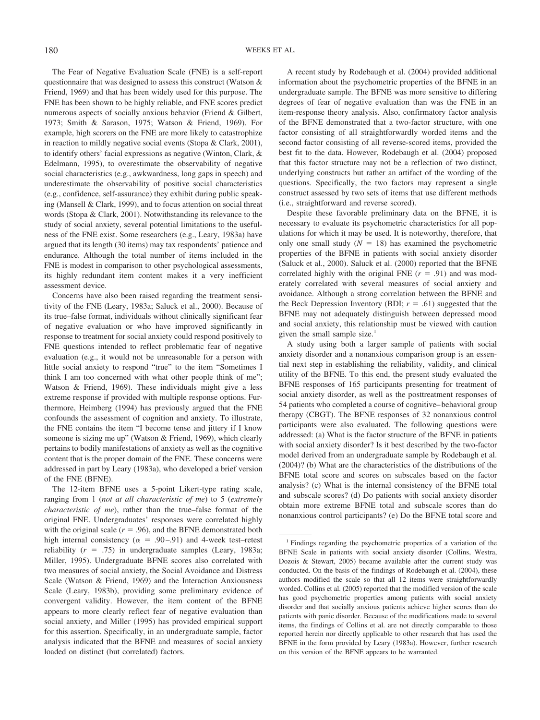The Fear of Negative Evaluation Scale (FNE) is a self-report questionnaire that was designed to assess this construct (Watson & Friend, 1969) and that has been widely used for this purpose. The FNE has been shown to be highly reliable, and FNE scores predict numerous aspects of socially anxious behavior (Friend & Gilbert, 1973; Smith & Sarason, 1975; Watson & Friend, 1969). For example, high scorers on the FNE are more likely to catastrophize in reaction to mildly negative social events (Stopa & Clark, 2001), to identify others' facial expressions as negative (Winton, Clark, & Edelmann, 1995), to overestimate the observability of negative social characteristics (e.g., awkwardness, long gaps in speech) and underestimate the observability of positive social characteristics (e.g., confidence, self-assurance) they exhibit during public speaking (Mansell & Clark, 1999), and to focus attention on social threat words (Stopa & Clark, 2001). Notwithstanding its relevance to the study of social anxiety, several potential limitations to the usefulness of the FNE exist. Some researchers (e.g., Leary, 1983a) have argued that its length (30 items) may tax respondents' patience and endurance. Although the total number of items included in the FNE is modest in comparison to other psychological assessments, its highly redundant item content makes it a very inefficient assessment device.

Concerns have also been raised regarding the treatment sensitivity of the FNE (Leary, 1983a; Saluck et al., 2000). Because of its true–false format, individuals without clinically significant fear of negative evaluation or who have improved significantly in response to treatment for social anxiety could respond positively to FNE questions intended to reflect problematic fear of negative evaluation (e.g., it would not be unreasonable for a person with little social anxiety to respond "true" to the item "Sometimes I think I am too concerned with what other people think of me"; Watson & Friend, 1969). These individuals might give a less extreme response if provided with multiple response options. Furthermore, Heimberg (1994) has previously argued that the FNE confounds the assessment of cognition and anxiety. To illustrate, the FNE contains the item "I become tense and jittery if I know someone is sizing me up" (Watson & Friend, 1969), which clearly pertains to bodily manifestations of anxiety as well as the cognitive content that is the proper domain of the FNE. These concerns were addressed in part by Leary (1983a), who developed a brief version of the FNE (BFNE).

The 12-item BFNE uses a 5-point Likert-type rating scale, ranging from 1 (*not at all characteristic of me*) to 5 (*extremely characteristic of me*), rather than the true–false format of the original FNE. Undergraduates' responses were correlated highly with the original scale  $(r = .96)$ , and the BFNE demonstrated both high internal consistency ( $\alpha$  = .90–.91) and 4-week test–retest reliability  $(r = .75)$  in undergraduate samples (Leary, 1983a; Miller, 1995). Undergraduate BFNE scores also correlated with two measures of social anxiety, the Social Avoidance and Distress Scale (Watson & Friend, 1969) and the Interaction Anxiousness Scale (Leary, 1983b), providing some preliminary evidence of convergent validity. However, the item content of the BFNE appears to more clearly reflect fear of negative evaluation than social anxiety, and Miller (1995) has provided empirical support for this assertion. Specifically, in an undergraduate sample, factor analysis indicated that the BFNE and measures of social anxiety loaded on distinct (but correlated) factors.

A recent study by Rodebaugh et al. (2004) provided additional information about the psychometric properties of the BFNE in an undergraduate sample. The BFNE was more sensitive to differing degrees of fear of negative evaluation than was the FNE in an item-response theory analysis. Also, confirmatory factor analysis of the BFNE demonstrated that a two-factor structure, with one factor consisting of all straightforwardly worded items and the second factor consisting of all reverse-scored items, provided the best fit to the data. However, Rodebaugh et al. (2004) proposed that this factor structure may not be a reflection of two distinct, underlying constructs but rather an artifact of the wording of the questions. Specifically, the two factors may represent a single construct assessed by two sets of items that use different methods (i.e., straightforward and reverse scored).

Despite these favorable preliminary data on the BFNE, it is necessary to evaluate its psychometric characteristics for all populations for which it may be used. It is noteworthy, therefore, that only one small study  $(N = 18)$  has examined the psychometric properties of the BFNE in patients with social anxiety disorder (Saluck et al., 2000). Saluck et al. (2000) reported that the BFNE correlated highly with the original FNE  $(r = .91)$  and was moderately correlated with several measures of social anxiety and avoidance. Although a strong correlation between the BFNE and the Beck Depression Inventory (BDI;  $r = .61$ ) suggested that the BFNE may not adequately distinguish between depressed mood and social anxiety, this relationship must be viewed with caution given the small sample size.<sup>1</sup>

A study using both a larger sample of patients with social anxiety disorder and a nonanxious comparison group is an essential next step in establishing the reliability, validity, and clinical utility of the BFNE. To this end, the present study evaluated the BFNE responses of 165 participants presenting for treatment of social anxiety disorder, as well as the posttreatment responses of 54 patients who completed a course of cognitive– behavioral group therapy (CBGT). The BFNE responses of 32 nonanxious control participants were also evaluated. The following questions were addressed: (a) What is the factor structure of the BFNE in patients with social anxiety disorder? Is it best described by the two-factor model derived from an undergraduate sample by Rodebaugh et al. (2004)? (b) What are the characteristics of the distributions of the BFNE total score and scores on subscales based on the factor analysis? (c) What is the internal consistency of the BFNE total and subscale scores? (d) Do patients with social anxiety disorder obtain more extreme BFNE total and subscale scores than do nonanxious control participants? (e) Do the BFNE total score and

<sup>&</sup>lt;sup>1</sup> Findings regarding the psychometric properties of a variation of the BFNE Scale in patients with social anxiety disorder (Collins, Westra, Dozois & Stewart, 2005) became available after the current study was conducted. On the basis of the findings of Rodebaugh et al. (2004), these authors modified the scale so that all 12 items were straightforwardly worded. Collins et al. (2005) reported that the modified version of the scale has good psychometric properties among patients with social anxiety disorder and that socially anxious patients achieve higher scores than do patients with panic disorder. Because of the modifications made to several items, the findings of Collins et al. are not directly comparable to those reported herein nor directly applicable to other research that has used the BFNE in the form provided by Leary (1983a). However, further research on this version of the BFNE appears to be warranted.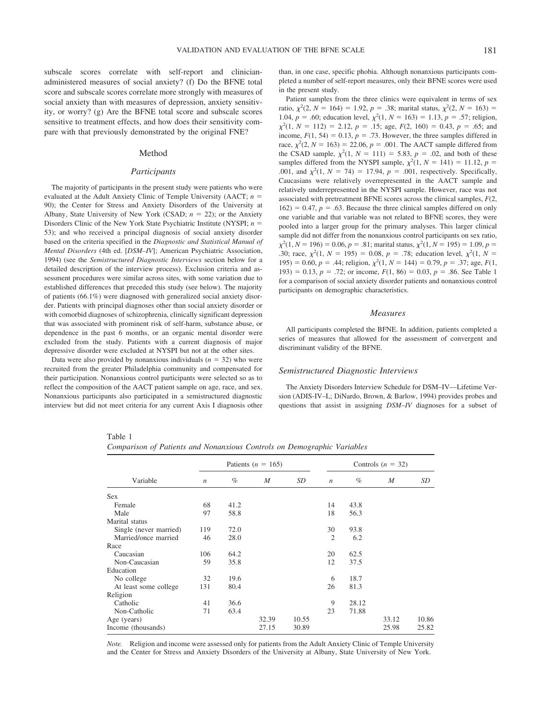subscale scores correlate with self-report and clinicianadministered measures of social anxiety? (f) Do the BFNE total score and subscale scores correlate more strongly with measures of social anxiety than with measures of depression, anxiety sensitivity, or worry? (g) Are the BFNE total score and subscale scores sensitive to treatment effects, and how does their sensitivity compare with that previously demonstrated by the original FNE?

#### Method

### *Participants*

The majority of participants in the present study were patients who were evaluated at the Adult Anxiety Clinic of Temple University (AACT; *n* 90); the Center for Stress and Anxiety Disorders of the University at Albany, State University of New York (CSAD;  $n = 22$ ); or the Anxiety Disorders Clinic of the New York State Psychiatric Institute (NYSPI; *n* 53); and who received a principal diagnosis of social anxiety disorder based on the criteria specified in the *Diagnostic and Statistical Manual of Mental Disorders* (4th ed. [*DSM–IV*]; American Psychiatric Association, 1994) (see the *Semistructured Diagnostic Interviews* section below for a detailed description of the interview process). Exclusion criteria and assessment procedures were similar across sites, with some variation due to established differences that preceded this study (see below). The majority of patients (66.1%) were diagnosed with generalized social anxiety disorder. Patients with principal diagnoses other than social anxiety disorder or with comorbid diagnoses of schizophrenia, clinically significant depression that was associated with prominent risk of self-harm, substance abuse, or dependence in the past 6 months, or an organic mental disorder were excluded from the study. Patients with a current diagnosis of major depressive disorder were excluded at NYSPI but not at the other sites.

Data were also provided by nonanxious individuals  $(n = 32)$  who were recruited from the greater Philadelphia community and compensated for their participation. Nonanxious control participants were selected so as to reflect the composition of the AACT patient sample on age, race, and sex. Nonanxious participants also participated in a semistructured diagnostic interview but did not meet criteria for any current Axis I diagnosis other than, in one case, specific phobia. Although nonanxious participants completed a number of self-report measures, only their BFNE scores were used in the present study.

Patient samples from the three clinics were equivalent in terms of sex ratio,  $\chi^2(2, N = 164) = 1.92$ ,  $p = .38$ ; marital status,  $\chi^2(2, N = 163) =$ 1.04,  $p = .60$ ; education level,  $\chi^2(1, N = 163) = 1.13$ ,  $p = .57$ ; religion,  $\chi^2(1, N = 112) = 2.12, p = .15$ ; age,  $F(2, 160) = 0.43, p = .65$ ; and income,  $F(1, 54) = 0.13$ ,  $p = .73$ . However, the three samples differed in race,  $\chi^2(2, N = 163) = 22.06, p = .001$ . The AACT sample differed from the CSAD sample,  $\chi^2(1, N = 111) = 5.83$ ,  $p = .02$ , and both of these samples differed from the NYSPI sample,  $\chi^2(1, N = 141) = 11.12$ ,  $p =$ .001, and  $\chi^2(1, N = 74) = 17.94$ ,  $p = .001$ , respectively. Specifically, Caucasians were relatively overrepresented in the AACT sample and relatively underrepresented in the NYSPI sample. However, race was not associated with pretreatment BFNE scores across the clinical samples, *F*(2,  $162$ ) = 0.47,  $p = .63$ . Because the three clinical samples differed on only one variable and that variable was not related to BFNE scores, they were pooled into a larger group for the primary analyses. This larger clinical sample did not differ from the nonanxious control participants on sex ratio,  $\chi^2(1, N = 196) = 0.06, p = .81$ ; marital status,  $\chi^2(1, N = 195) = 1.09, p =$ .30; race,  $\chi^2(1, N = 195) = 0.08$ ,  $p = .78$ ; education level,  $\chi^2(1, N = 195)$  $195$ ) = 0.60, *p* = .44; religion,  $\chi^2(1, N = 144) = 0.79$ , *p* = .37; age, *F*(1, 193) = 0.13,  $p = .72$ ; or income,  $F(1, 86) = 0.03$ ,  $p = .86$ . See Table 1 for a comparison of social anxiety disorder patients and nonanxious control participants on demographic characteristics.

#### *Measures*

All participants completed the BFNE. In addition, patients completed a series of measures that allowed for the assessment of convergent and discriminant validity of the BFNE.

#### *Semistructured Diagnostic Interviews*

The Anxiety Disorders Interview Schedule for DSM–IV—Lifetime Version (ADIS-IV–L; DiNardo, Brown, & Barlow, 1994) provides probes and questions that assist in assigning *DSM–IV* diagnoses for a subset of

#### Table 1

*Comparison of Patients and Nonanxious Controls on Demographic Variables*

|                        |                  |      | Patients ( $n = 165$ ) |       |                  | Controls $(n = 32)$ |       |       |
|------------------------|------------------|------|------------------------|-------|------------------|---------------------|-------|-------|
| Variable               | $\boldsymbol{n}$ | $\%$ | M                      | SD    | $\boldsymbol{n}$ | $\%$                | M     | SD    |
| <b>Sex</b>             |                  |      |                        |       |                  |                     |       |       |
| Female                 | 68               | 41.2 |                        |       | 14               | 43.8                |       |       |
| Male                   | 97               | 58.8 |                        |       | 18               | 56.3                |       |       |
| Marital status         |                  |      |                        |       |                  |                     |       |       |
| Single (never married) | 119              | 72.0 |                        |       | 30               | 93.8                |       |       |
| Married/once married   | 46               | 28.0 |                        |       | $\overline{2}$   | 6.2                 |       |       |
| Race                   |                  |      |                        |       |                  |                     |       |       |
| Caucasian              | 106              | 64.2 |                        |       | 20               | 62.5                |       |       |
| Non-Caucasian          | 59               | 35.8 |                        |       | 12               | 37.5                |       |       |
| Education              |                  |      |                        |       |                  |                     |       |       |
| No college             | 32               | 19.6 |                        |       | 6                | 18.7                |       |       |
| At least some college  | 131              | 80.4 |                        |       | 26               | 81.3                |       |       |
| Religion               |                  |      |                        |       |                  |                     |       |       |
| Catholic               | 41               | 36.6 |                        |       | 9                | 28.12               |       |       |
| Non-Catholic           | 71               | 63.4 |                        |       | 23               | 71.88               |       |       |
| Age (years)            |                  |      | 32.39                  | 10.55 |                  |                     | 33.12 | 10.86 |
| Income (thousands)     |                  |      | 27.15                  | 30.89 |                  |                     | 25.98 | 25.82 |

*Note.* Religion and income were assessed only for patients from the Adult Anxiety Clinic of Temple University and the Center for Stress and Anxiety Disorders of the University at Albany, State University of New York.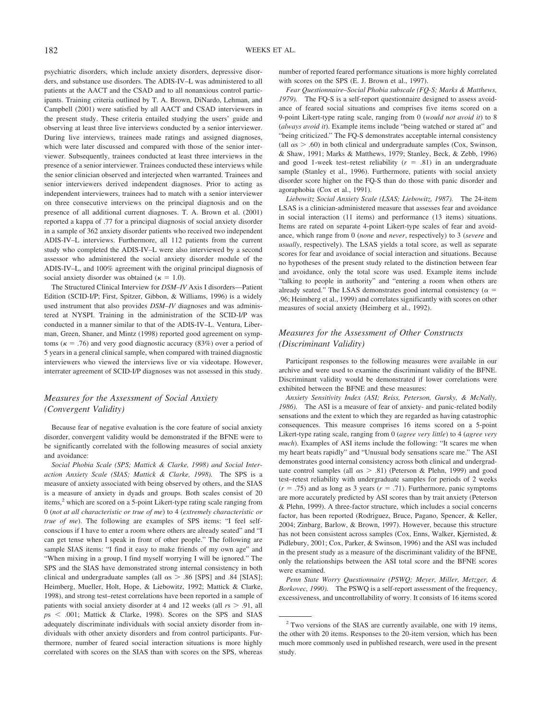psychiatric disorders, which include anxiety disorders, depressive disorders, and substance use disorders. The ADIS-IV–L was administered to all patients at the AACT and the CSAD and to all nonanxious control participants. Training criteria outlined by T. A. Brown, DiNardo, Lehman, and Campbell (2001) were satisfied by all AACT and CSAD interviewers in the present study. These criteria entailed studying the users' guide and observing at least three live interviews conducted by a senior interviewer. During live interviews, trainees made ratings and assigned diagnoses, which were later discussed and compared with those of the senior interviewer. Subsequently, trainees conducted at least three interviews in the presence of a senior interviewer. Trainees conducted these interviews while the senior clinician observed and interjected when warranted. Trainees and senior interviewers derived independent diagnoses. Prior to acting as independent interviewers, trainees had to match with a senior interviewer on three consecutive interviews on the principal diagnosis and on the presence of all additional current diagnoses. T. A. Brown et al. (2001) reported a kappa of .77 for a principal diagnosis of social anxiety disorder in a sample of 362 anxiety disorder patients who received two independent ADIS-IV–L interviews. Furthermore, all 112 patients from the current study who completed the ADIS-IV–L were also interviewed by a second assessor who administered the social anxiety disorder module of the ADIS-IV–L, and 100% agreement with the original principal diagnosis of social anxiety disorder was obtained ( $\kappa = 1.0$ ).

The Structured Clinical Interview for *DSM–IV* Axis I disorders—Patient Edition (SCID-I/P; First, Spitzer, Gibbon, & Williams, 1996) is a widely used instrument that also provides *DSM–IV* diagnoses and was administered at NYSPI. Training in the administration of the SCID-I/P was conducted in a manner similar to that of the ADIS-IV–L. Ventura, Liberman, Green, Shaner, and Mintz (1998) reported good agreement on symptoms ( $\kappa = .76$ ) and very good diagnostic accuracy (83%) over a period of 5 years in a general clinical sample, when compared with trained diagnostic interviewers who viewed the interviews live or via videotape. However, interrater agreement of SCID-I/P diagnoses was not assessed in this study.

# *Measures for the Assessment of Social Anxiety (Convergent Validity)*

Because fear of negative evaluation is the core feature of social anxiety disorder, convergent validity would be demonstrated if the BFNE were to be significantly correlated with the following measures of social anxiety and avoidance:

*Social Phobia Scale (SPS; Mattick & Clarke, 1998) and Social Interaction Anxiety Scale (SIAS; Mattick & Clarke, 1998).* The SPS is a measure of anxiety associated with being observed by others, and the SIAS is a measure of anxiety in dyads and groups. Both scales consist of 20 items,<sup>2</sup> which are scored on a 5-point Likert-type rating scale ranging from 0 (*not at all characteristic or true of me*) to 4 (*extremely characteristic or true of me*). The following are examples of SPS items: "I feel selfconscious if I have to enter a room where others are already seated" and "I can get tense when I speak in front of other people." The following are sample SIAS items: "I find it easy to make friends of my own age" and "When mixing in a group, I find myself worrying I will be ignored." The SPS and the SIAS have demonstrated strong internal consistency in both clinical and undergraduate samples (all  $\alpha s > .86$  [SPS] and .84 [SIAS]; Heimberg, Mueller, Holt, Hope, & Liebowitz, 1992; Mattick & Clarke, 1998), and strong test–retest correlations have been reported in a sample of patients with social anxiety disorder at 4 and 12 weeks (all  $rs > .91$ , all *p*s .001; Mattick & Clarke, 1998). Scores on the SPS and SIAS adequately discriminate individuals with social anxiety disorder from individuals with other anxiety disorders and from control participants. Furthermore, number of feared social interaction situations is more highly correlated with scores on the SIAS than with scores on the SPS, whereas

number of reported feared performance situations is more highly correlated with scores on the SPS (E. J. Brown et al., 1997).

*Fear Questionnaire–Social Phobia subscale (FQ-S; Marks & Matthews, 1979).* The FQ-S is a self-report questionnaire designed to assess avoidance of feared social situations and comprises five items scored on a 9-point Likert-type rating scale, ranging from 0 (*would not avoid it*) to 8 (*always avoid it*). Example items include "being watched or stared at" and "being criticized." The FQ-S demonstrates acceptable internal consistency (all  $\alpha$ s  $>$  .60) in both clinical and undergraduate samples (Cox, Swinson, & Shaw, 1991; Marks & Matthews, 1979; Stanley, Beck, & Zebb, 1996) and good 1-week test–retest reliability  $(r = .81)$  in an undergraduate sample (Stanley et al., 1996). Furthermore, patients with social anxiety disorder score higher on the FQ-S than do those with panic disorder and agoraphobia (Cox et al., 1991).

*Liebowitz Social Anxiety Scale (LSAS; Liebowitz, 1987).* The 24-item LSAS is a clinician-administered measure that assesses fear and avoidance in social interaction (11 items) and performance (13 items) situations. Items are rated on separate 4-point Likert-type scales of fear and avoidance, which range from 0 (*none* and *never*, respectively) to 3 (*severe* and *usually*, respectively). The LSAS yields a total score, as well as separate scores for fear and avoidance of social interaction and situations. Because no hypotheses of the present study related to the distinction between fear and avoidance, only the total score was used. Example items include "talking to people in authority" and "entering a room when others are already seated." The LSAS demonstrates good internal consistency ( $\alpha$  = .96; Heimberg et al., 1999) and correlates significantly with scores on other measures of social anxiety (Heimberg et al., 1992).

# *Measures for the Assessment of Other Constructs (Discriminant Validity)*

Participant responses to the following measures were available in our archive and were used to examine the discriminant validity of the BFNE. Discriminant validity would be demonstrated if lower correlations were exhibited between the BFNE and these measures:

*Anxiety Sensitivity Index (ASI; Reiss, Peterson, Gursky, & McNally, 1986).* The ASI is a measure of fear of anxiety- and panic-related bodily sensations and the extent to which they are regarded as having catastrophic consequences. This measure comprises 16 items scored on a 5-point Likert-type rating scale, ranging from 0 (*agree very little*) to 4 (*agree very much*). Examples of ASI items include the following: "It scares me when my heart beats rapidly" and "Unusual body sensations scare me." The ASI demonstrates good internal consistency across both clinical and undergraduate control samples (all  $\alpha s > .81$ ) (Peterson & Plehn, 1999) and good test–retest reliability with undergraduate samples for periods of 2 weeks  $(r = .75)$  and as long as 3 years  $(r = .71)$ . Furthermore, panic symptoms are more accurately predicted by ASI scores than by trait anxiety (Peterson & Plehn, 1999). A three-factor structure, which includes a social concerns factor, has been reported (Rodriguez, Bruce, Pagano, Spencer, & Keller, 2004; Zinbarg, Barlow, & Brown, 1997). However, because this structure has not been consistent across samples (Cox, Enns, Walker, Kjernisted, & Pidlebury, 2001; Cox, Parker, & Swinson, 1996) and the ASI was included in the present study as a measure of the discriminant validity of the BFNE, only the relationships between the ASI total score and the BFNE scores were examined.

*Penn State Worry Questionnaire (PSWQ; Meyer, Miller, Metzger, & Borkovec, 1990).* The PSWQ is a self-report assessment of the frequency, excessiveness, and uncontrollability of worry. It consists of 16 items scored

<sup>2</sup> Two versions of the SIAS are currently available, one with 19 items, the other with 20 items. Responses to the 20-item version, which has been much more commonly used in published research, were used in the present study.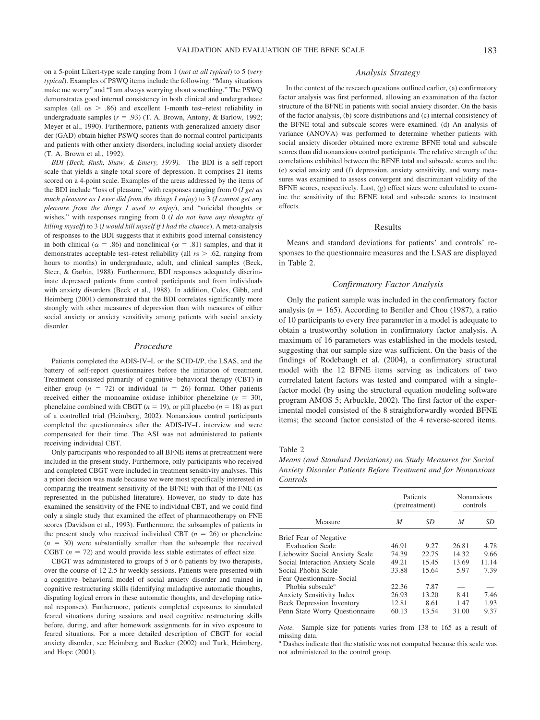on a 5-point Likert-type scale ranging from 1 (*not at all typical*) to 5 (*very typical*). Examples of PSWQ items include the following: "Many situations make me worry" and "I am always worrying about something." The PSWQ demonstrates good internal consistency in both clinical and undergraduate samples (all  $\alpha s$  > .86) and excellent 1-month test–retest reliability in undergraduate samples  $(r = .93)$  (T. A. Brown, Antony, & Barlow, 1992; Meyer et al., 1990). Furthermore, patients with generalized anxiety disorder (GAD) obtain higher PSWQ scores than do normal control participants and patients with other anxiety disorders, including social anxiety disorder (T. A. Brown et al., 1992).

*BDI (Beck, Rush, Shaw, & Emery, 1979).* The BDI is a self-report scale that yields a single total score of depression. It comprises 21 items scored on a 4-point scale. Examples of the areas addressed by the items of the BDI include "loss of pleasure," with responses ranging from 0 (*I get as much pleasure as I ever did from the things I enjoy*) to 3 (*I cannot get any pleasure from the things I used to enjoy*), and "suicidal thoughts or wishes," with responses ranging from 0 (*I do not have any thoughts of killing myself*) to 3 (*I would kill myself if I had the chance*). A meta-analysis of responses to the BDI suggests that it exhibits good internal consistency in both clinical ( $\alpha = .86$ ) and nonclinical ( $\alpha = .81$ ) samples, and that it demonstrates acceptable test–retest reliability (all *r*s - .62, ranging from hours to months) in undergraduate, adult, and clinical samples (Beck, Steer, & Garbin, 1988). Furthermore, BDI responses adequately discriminate depressed patients from control participants and from individuals with anxiety disorders (Beck et al., 1988). In addition, Coles, Gibb, and Heimberg (2001) demonstrated that the BDI correlates significantly more strongly with other measures of depression than with measures of either social anxiety or anxiety sensitivity among patients with social anxiety disorder.

# *Procedure*

Patients completed the ADIS-IV–L or the SCID-I/P, the LSAS, and the battery of self-report questionnaires before the initiation of treatment. Treatment consisted primarily of cognitive– behavioral therapy (CBT) in either group  $(n = 72)$  or individual  $(n = 26)$  format. Other patients received either the monoamine oxidase inhibitor phenelzine  $(n = 30)$ , phenelzine combined with CBGT ( $n = 19$ ), or pill placebo ( $n = 18$ ) as part of a controlled trial (Heimberg, 2002). Nonanxious control participants completed the questionnaires after the ADIS-IV–L interview and were compensated for their time. The ASI was not administered to patients receiving individual CBT.

Only participants who responded to all BFNE items at pretreatment were included in the present study. Furthermore, only participants who received and completed CBGT were included in treatment sensitivity analyses. This a priori decision was made because we were most specifically interested in comparing the treatment sensitivity of the BFNE with that of the FNE (as represented in the published literature). However, no study to date has examined the sensitivity of the FNE to individual CBT, and we could find only a single study that examined the effect of pharmacotherapy on FNE scores (Davidson et al., 1993). Furthermore, the subsamples of patients in the present study who received individual CBT  $(n = 26)$  or phenelzine  $(n = 30)$  were substantially smaller than the subsample that received CGBT  $(n = 72)$  and would provide less stable estimates of effect size.

CBGT was administered to groups of 5 or 6 patients by two therapists, over the course of 12 2.5-hr weekly sessions. Patients were presented with a cognitive– behavioral model of social anxiety disorder and trained in cognitive restructuring skills (identifying maladaptive automatic thoughts, disputing logical errors in these automatic thoughts, and developing rational responses). Furthermore, patients completed exposures to simulated feared situations during sessions and used cognitive restructuring skills before, during, and after homework assignments for in vivo exposure to feared situations. For a more detailed description of CBGT for social anxiety disorder, see Heimberg and Becker (2002) and Turk, Heimberg, and Hope (2001).

# *Analysis Strategy*

In the context of the research questions outlined earlier, (a) confirmatory factor analysis was first performed, allowing an examination of the factor structure of the BFNE in patients with social anxiety disorder. On the basis of the factor analysis, (b) score distributions and (c) internal consistency of the BFNE total and subscale scores were examined. (d) An analysis of variance (ANOVA) was performed to determine whether patients with social anxiety disorder obtained more extreme BFNE total and subscale scores than did nonanxious control participants. The relative strength of the correlations exhibited between the BFNE total and subscale scores and the (e) social anxiety and (f) depression, anxiety sensitivity, and worry measures was examined to assess convergent and discriminant validity of the BFNE scores, respectively. Last, (g) effect sizes were calculated to examine the sensitivity of the BFNE total and subscale scores to treatment effects.

#### Results

Means and standard deviations for patients' and controls' responses to the questionnaire measures and the LSAS are displayed in Table 2.

# *Confirmatory Factor Analysis*

Only the patient sample was included in the confirmatory factor analysis ( $n = 165$ ). According to Bentler and Chou (1987), a ratio of 10 participants to every free parameter in a model is adequate to obtain a trustworthy solution in confirmatory factor analysis. A maximum of 16 parameters was established in the models tested, suggesting that our sample size was sufficient. On the basis of the findings of Rodebaugh et al. (2004), a confirmatory structural model with the 12 BFNE items serving as indicators of two correlated latent factors was tested and compared with a singlefactor model (by using the structural equation modeling software program AMOS 5; Arbuckle, 2002). The first factor of the experimental model consisted of the 8 straightforwardly worded BFNE items; the second factor consisted of the 4 reverse-scored items.

### Table 2

*Means (and Standard Deviations) on Study Measures for Social Anxiety Disorder Patients Before Treatment and for Nonanxious Controls*

|                                  |       | Patients<br>(pretreatment) |       | Nonanxious<br>controls |  |
|----------------------------------|-------|----------------------------|-------|------------------------|--|
| Measure                          | M     | SD                         | M     | SD                     |  |
| Brief Fear of Negative           |       |                            |       |                        |  |
| <b>Evaluation Scale</b>          | 46.91 | 9.27                       | 26.81 | 4.78                   |  |
| Liebowitz Social Anxiety Scale   | 74.39 | 22.75                      | 14.32 | 9.66                   |  |
| Social Interaction Anxiety Scale | 49.21 | 15.45                      | 13.69 | 11.14                  |  |
| Social Phobia Scale              | 33.88 | 15.64                      | 5.97  | 7.39                   |  |
| Fear Ouestionnaire–Social        |       |                            |       |                        |  |
| Phobia subscale <sup>a</sup>     | 22.36 | 7.87                       |       |                        |  |
| <b>Anxiety Sensitivity Index</b> | 26.93 | 13.20                      | 8.41  | 7.46                   |  |
| <b>Beck Depression Inventory</b> | 12.81 | 8.61                       | 1.47  | 1.93                   |  |
| Penn State Worry Questionnaire   | 60.13 | 13.54                      | 31.00 | 9.37                   |  |

*Note.* Sample size for patients varies from 138 to 165 as a result of missing data.

<sup>a</sup> Dashes indicate that the statistic was not computed because this scale was not administered to the control group.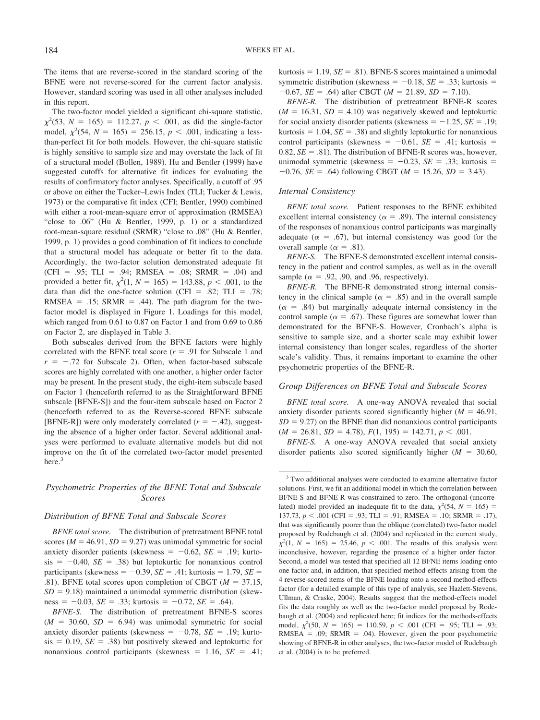The items that are reverse-scored in the standard scoring of the BFNE were not reverse-scored for the current factor analysis. However, standard scoring was used in all other analyses included in this report.

The two-factor model yielded a significant chi-square statistic,  $\chi^2$ (53, *N* = 165) = 112.27, *p* < .001, as did the single-factor model,  $\chi^2$ (54, *N* = 165) = 256.15, *p* < .001, indicating a lessthan-perfect fit for both models. However, the chi-square statistic is highly sensitive to sample size and may overstate the lack of fit of a structural model (Bollen, 1989). Hu and Bentler (1999) have suggested cutoffs for alternative fit indices for evaluating the results of confirmatory factor analyses. Specifically, a cutoff of .95 or above on either the Tucker–Lewis Index (TLI; Tucker & Lewis, 1973) or the comparative fit index (CFI; Bentler, 1990) combined with either a root-mean-square error of approximation (RMSEA) "close to .06" (Hu & Bentler, 1999, p. 1) or a standardized root-mean-square residual (SRMR) "close to .08" (Hu & Bentler, 1999, p. 1) provides a good combination of fit indices to conclude that a structural model has adequate or better fit to the data. Accordingly, the two-factor solution demonstrated adequate fit (CFI = .95; TLI = .94; RMSEA = .08; SRMR = .04) and provided a better fit,  $\chi^2(1, N = 165) = 143.88, p < .001$ , to the data than did the one-factor solution (CFI = .82; TLI = .78; RMSEA =  $.15$ ; SRMR =  $.44$ ). The path diagram for the twofactor model is displayed in Figure 1. Loadings for this model, which ranged from 0.61 to 0.87 on Factor 1 and from 0.69 to 0.86 on Factor 2, are displayed in Table 3.

Both subscales derived from the BFNE factors were highly correlated with the BFNE total score  $(r = .91$  for Subscale 1 and  $r = -0.72$  for Subscale 2). Often, when factor-based subscale scores are highly correlated with one another, a higher order factor may be present. In the present study, the eight-item subscale based on Factor 1 (henceforth referred to as the Straightforward BFNE subscale [BFNE-S]) and the four-item subscale based on Factor 2 (henceforth referred to as the Reverse-scored BFNE subscale [BFNE-R]) were only moderately correlated  $(r = -.42)$ , suggesting the absence of a higher order factor. Several additional analyses were performed to evaluate alternative models but did not improve on the fit of the correlated two-factor model presented here.<sup>3</sup>

# *Psychometric Properties of the BFNE Total and Subscale Scores*

# *Distribution of BFNE Total and Subscale Scores*

*BFNE total score.* The distribution of pretreatment BFNE total scores ( $M = 46.91$ ,  $SD = 9.27$ ) was unimodal symmetric for social anxiety disorder patients (skewness  $= -0.62$ ,  $SE = .19$ ; kurto $sis = -0.40$ ,  $SE = .38$ ) but leptokurtic for nonanxious control participants (skewness  $= -0.39$ , *SE*  $= .41$ ; kurtosis  $= 1.79$ , *SE*  $=$ .81). BFNE total scores upon completion of CBGT ( $M = 37.15$ ,  $SD = 9.18$ ) maintained a unimodal symmetric distribution (skewness  $= -0.03$ , *SE*  $= .33$ ; kurtosis  $= -0.72$ , *SE*  $= .64$ ).

*BFNE-S.* The distribution of pretreatment BFNE-S scores  $(M = 30.60, SD = 6.94)$  was unimodal symmetric for social anxiety disorder patients (skewness  $= -0.78$ , *SE*  $= .19$ ; kurto $sis = 0.19$ ,  $SE = .38$ ) but positively skewed and leptokurtic for nonanxious control participants (skewness  $= 1.16$ , *SE*  $= .41$ ;  $kurtosis = 1.19, SE = .81$ . BFNE-S scores maintained a unimodal symmetric distribution (skewness  $= -0.18$ , *SE*  $= .33$ ; kurtosis  $=$  $-0.67$ , *SE* = .64) after CBGT (*M* = 21.89, *SD* = 7.10).

*BFNE-R.* The distribution of pretreatment BFNE-R scores  $(M = 16.31, SD = 4.10)$  was negatively skewed and leptokurtic for social anxiety disorder patients (skewness  $= -1.25$ , *SE*  $= .19$ ; kurtosis  $= 1.04$ ,  $SE = .38$ ) and slightly leptokurtic for nonanxious control participants (skewness  $= -0.61$ , *SE*  $= .41$ ; kurtosis  $=$ 0.82,  $SE = .81$ ). The distribution of BFNE-R scores was, however, unimodal symmetric (skewness  $= -0.23$ , *SE*  $= .33$ ; kurtosis  $=$  $-0.76$ , *SE* = .64) following CBGT (*M* = 15.26, *SD* = 3.43).

### *Internal Consistency*

*BFNE total score.* Patient responses to the BFNE exhibited excellent internal consistency ( $\alpha = .89$ ). The internal consistency of the responses of nonanxious control participants was marginally adequate ( $\alpha = .67$ ), but internal consistency was good for the overall sample ( $\alpha = .81$ ).

*BFNE-S.* The BFNE-S demonstrated excellent internal consistency in the patient and control samples, as well as in the overall sample ( $\alpha$  = .92, .90, and .96, respectively).

*BFNE-R.* The BFNE-R demonstrated strong internal consistency in the clinical sample ( $\alpha = .85$ ) and in the overall sample  $(\alpha = .84)$  but marginally adequate internal consistency in the control sample ( $\alpha = .67$ ). These figures are somewhat lower than demonstrated for the BFNE-S. However, Cronbach's alpha is sensitive to sample size, and a shorter scale may exhibit lower internal consistency than longer scales, regardless of the shorter scale's validity. Thus, it remains important to examine the other psychometric properties of the BFNE-R.

# *Group Differences on BFNE Total and Subscale Scores*

*BFNE total score.* A one-way ANOVA revealed that social anxiety disorder patients scored significantly higher  $(M = 46.91,$  $SD = 9.27$  on the BFNE than did nonanxious control participants  $(M = 26.81, SD = 4.78), F(1, 195) = 142.71, p < .001.$ 

*BFNE-S.* A one-way ANOVA revealed that social anxiety disorder patients also scored significantly higher  $(M = 30.60,$ 

<sup>3</sup> Two additional analyses were conducted to examine alternative factor solutions. First, we fit an additional model in which the correlation between BFNE-S and BFNE-R was constrained to zero. The orthogonal (uncorrelated) model provided an inadequate fit to the data,  $\chi^2$ (54, *N* = 165) = 137.73,  $p < .001$  (CFI = .93; TLI = .91; RMSEA = .10; SRMR = .17), that was significantly poorer than the oblique (correlated) two-factor model proposed by Rodebaugh et al. (2004) and replicated in the current study,  $\chi^2(1, N = 165) = 25.46, p < .001$ . The results of this analysis were inconclusive, however, regarding the presence of a higher order factor. Second, a model was tested that specified all 12 BFNE items loading onto one factor and, in addition, that specified method effects arising from the 4 reverse-scored items of the BFNE loading onto a second method-effects factor (for a detailed example of this type of analysis, see Hazlett-Stevens, Ullman, & Craske, 2004). Results suggest that the method-effects model fits the data roughly as well as the two-factor model proposed by Rodebaugh et al. (2004) and replicated here; fit indices for the methods-effects model,  $\chi^2$ (50, *N* = 165) = 110.59, *p* < .001 (CFI = .95; TLI = .93; RMSEA = .09; SRMR = .04). However, given the poor psychometric showing of BFNE-R in other analyses, the two-factor model of Rodebaugh et al. (2004) is to be preferred.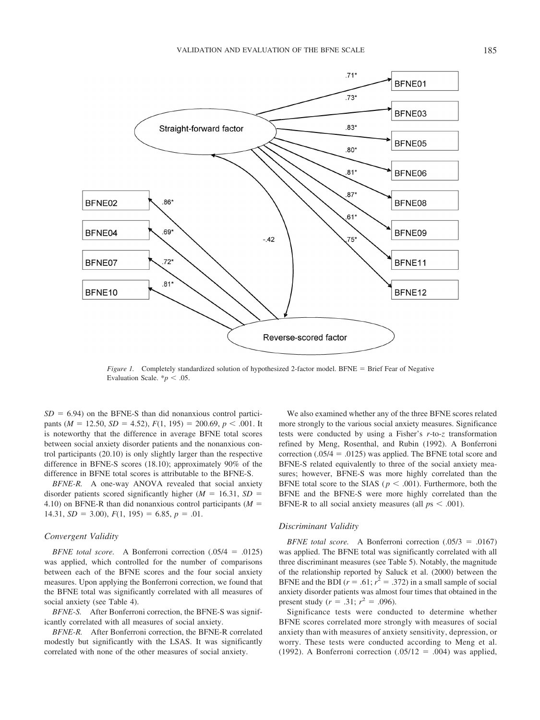

*Figure 1.* Completely standardized solution of hypothesized 2-factor model. BFNE = Brief Fear of Negative Evaluation Scale.  $* p < .05$ .

 $SD = 6.94$ ) on the BFNE-S than did nonanxious control participants ( $M = 12.50$ ,  $SD = 4.52$ ),  $F(1, 195) = 200.69$ ,  $p < .001$ . It is noteworthy that the difference in average BFNE total scores between social anxiety disorder patients and the nonanxious control participants (20.10) is only slightly larger than the respective difference in BFNE-S scores (18.10); approximately 90% of the difference in BFNE total scores is attributable to the BFNE-S.

*BFNE-R.* A one-way ANOVA revealed that social anxiety disorder patients scored significantly higher ( $M = 16.31$ ,  $SD =$ 4.10) on BFNE-R than did nonanxious control participants (*M* 14.31,  $SD = 3.00$ ,  $F(1, 195) = 6.85$ ,  $p = .01$ .

### *Convergent Validity*

*BFNE total score.* A Bonferroni correction  $(.05/4 = .0125)$ was applied, which controlled for the number of comparisons between each of the BFNE scores and the four social anxiety measures. Upon applying the Bonferroni correction, we found that the BFNE total was significantly correlated with all measures of social anxiety (see Table 4).

*BFNE-S.* After Bonferroni correction, the BFNE-S was significantly correlated with all measures of social anxiety.

*BFNE-R.* After Bonferroni correction, the BFNE-R correlated modestly but significantly with the LSAS. It was significantly correlated with none of the other measures of social anxiety.

We also examined whether any of the three BFNE scores related more strongly to the various social anxiety measures. Significance tests were conducted by using a Fisher's *r*-to-*z* transformation refined by Meng, Rosenthal, and Rubin (1992). A Bonferroni correction  $(.05/4 = .0125)$  was applied. The BFNE total score and BFNE-S related equivalently to three of the social anxiety measures; however, BFNE-S was more highly correlated than the BFNE total score to the SIAS ( $p < .001$ ). Furthermore, both the BFNE and the BFNE-S were more highly correlated than the BFNE-R to all social anxiety measures (all  $ps < .001$ ).

# *Discriminant Validity*

*BFNE total score.* A Bonferroni correction  $(.05/3 = .0167)$ was applied. The BFNE total was significantly correlated with all three discriminant measures (see Table 5). Notably, the magnitude of the relationship reported by Saluck et al. (2000) between the BFNE and the BDI ( $r = .61$ ;  $r^2 = .372$ ) in a small sample of social anxiety disorder patients was almost four times that obtained in the present study ( $r = .31$ ;  $r^2 = .096$ ).

Significance tests were conducted to determine whether BFNE scores correlated more strongly with measures of social anxiety than with measures of anxiety sensitivity, depression, or worry. These tests were conducted according to Meng et al. (1992). A Bonferroni correction  $(.05/12 = .004)$  was applied,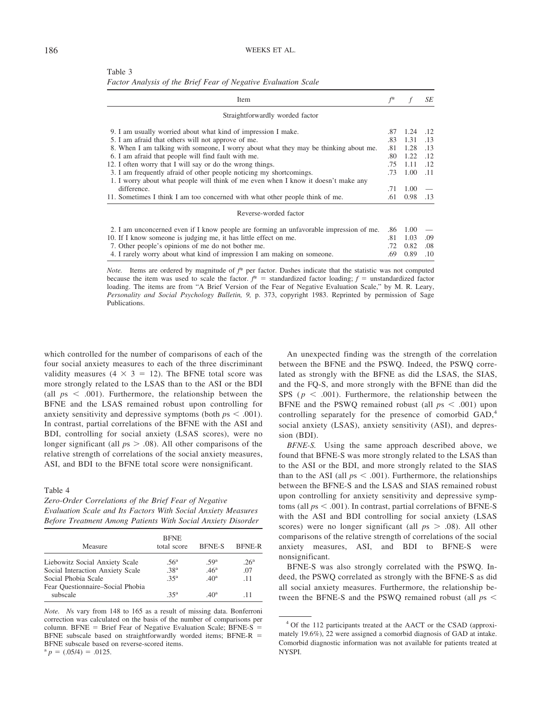| Table 3                                                        |  |  |
|----------------------------------------------------------------|--|--|
| Factor Analysis of the Brief Fear of Negative Evaluation Scale |  |  |

| Item                                                                                   | $f^*$ |      | SE  |
|----------------------------------------------------------------------------------------|-------|------|-----|
| Straightforwardly worded factor                                                        |       |      |     |
| 9. I am usually worried about what kind of impression I make.                          | .87   | 1.24 | .12 |
| 5. I am afraid that others will not approve of me.                                     | .83   | 1.31 | .13 |
| 8. When I am talking with someone, I worry about what they may be thinking about me.   | .81   | 1.28 | .13 |
| 6. I am afraid that people will find fault with me.                                    | .80   | 1.22 | .12 |
| 12. I often worry that I will say or do the wrong things.                              | .75   | 1.11 | .12 |
| 3. I am frequently afraid of other people noticing my shortcomings.                    | .73   | 1.00 | .11 |
| 1. I worry about what people will think of me even when I know it doesn't make any     |       |      |     |
| difference.                                                                            | .71   | 1.00 |     |
| 11. Sometimes I think I am too concerned with what other people think of me.           | .61   | 0.98 | .13 |
| Reverse-worded factor                                                                  |       |      |     |
| 2. I am unconcerned even if I know people are forming an unfavorable impression of me. | .86   | 1.00 |     |
| 10. If I know someone is judging me, it has little effect on me.                       |       |      | .09 |
| 7. Other people's opinions of me do not bother me.                                     |       |      | .08 |
| 4. I rarely worry about what kind of impression I am making on someone.                | .69   | 0.89 | .10 |

*Note.* Items are ordered by magnitude of *f*\* per factor. Dashes indicate that the statistic was not computed because the item was used to scale the factor.  $f^*$  = standardized factor loading;  $f$  = unstandardized factor loading. The items are from "A Brief Version of the Fear of Negative Evaluation Scale," by M. R. Leary, *Personality and Social Psychology Bulletin, 9,* p. 373, copyright 1983. Reprinted by permission of Sage Publications.

which controlled for the number of comparisons of each of the four social anxiety measures to each of the three discriminant validity measures  $(4 \times 3 = 12)$ . The BFNE total score was more strongly related to the LSAS than to the ASI or the BDI (all  $ps < .001$ ). Furthermore, the relationship between the BFNE and the LSAS remained robust upon controlling for anxiety sensitivity and depressive symptoms (both  $ps < .001$ ). In contrast, partial correlations of the BFNE with the ASI and BDI, controlling for social anxiety (LSAS scores), were no longer significant (all  $ps > .08$ ). All other comparisons of the relative strength of correlations of the social anxiety measures, ASI, and BDI to the BFNE total score were nonsignificant.

# Table 4

*Zero-Order Correlations of the Brief Fear of Negative Evaluation Scale and Its Factors With Social Anxiety Measures Before Treatment Among Patients With Social Anxiety Disorder*

| Measure                          | <b>BFNE</b><br>total score | <b>BFNE-S</b>    | <b>BFNE-R</b>    |
|----------------------------------|----------------------------|------------------|------------------|
|                                  |                            |                  |                  |
| Liebowitz Social Anxiety Scale   | .56 <sup>a</sup>           | .59 <sup>a</sup> | .26 <sup>a</sup> |
| Social Interaction Anxiety Scale | .38 <sup>a</sup>           | .46 <sup>a</sup> | .07              |
| Social Phobia Scale              | 35 <sup>a</sup>            | .40 <sup>a</sup> | $-11$            |
| Fear Ouestionnaire–Social Phobia |                            |                  |                  |
| subscale                         | 35 <sup>a</sup>            | $40^{\circ}$     | -11              |

*Note. N*s vary from 148 to 165 as a result of missing data. Bonferroni correction was calculated on the basis of the number of comparisons per column. BFNE = Brief Fear of Negative Evaluation Scale; BFNE-S = BFNE subscale based on straightforwardly worded items; BFNE-R BFNE subscale based on reverse-scored items.

 $a$  *p* = (.05/4) = .0125.

An unexpected finding was the strength of the correlation between the BFNE and the PSWQ. Indeed, the PSWQ correlated as strongly with the BFNE as did the LSAS, the SIAS, and the FQ-S, and more strongly with the BFNE than did the SPS ( $p < .001$ ). Furthermore, the relationship between the BFNE and the PSWQ remained robust (all  $ps < .001$ ) upon controlling separately for the presence of comorbid GAD,<sup>4</sup> social anxiety (LSAS), anxiety sensitivity (ASI), and depression (BDI).

*BFNE-S.* Using the same approach described above, we found that BFNE-S was more strongly related to the LSAS than to the ASI or the BDI, and more strongly related to the SIAS than to the ASI (all  $ps < .001$ ). Furthermore, the relationships between the BFNE-S and the LSAS and SIAS remained robust upon controlling for anxiety sensitivity and depressive symptoms (all  $ps < .001$ ). In contrast, partial correlations of BFNE-S with the ASI and BDI controlling for social anxiety (LSAS scores) were no longer significant (all  $ps > .08$ ). All other comparisons of the relative strength of correlations of the social anxiety measures, ASI, and BDI to BFNE-S were nonsignificant.

BFNE-S was also strongly correlated with the PSWQ. Indeed, the PSWQ correlated as strongly with the BFNE-S as did all social anxiety measures. Furthermore, the relationship between the BFNE-S and the PSWQ remained robust (all *p*s

<sup>4</sup> Of the 112 participants treated at the AACT or the CSAD (approximately 19.6%), 22 were assigned a comorbid diagnosis of GAD at intake. Comorbid diagnostic information was not available for patients treated at NYSPI.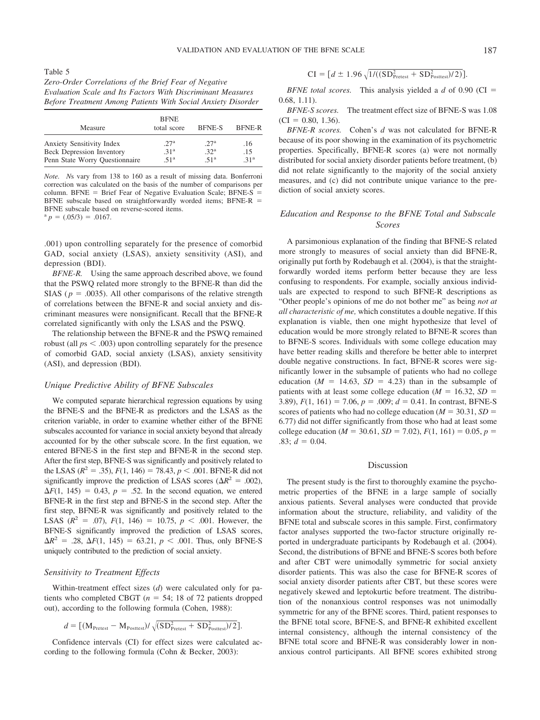VALIDATION AND EVALUATION OF THE BFNE SCALE 187

Table 5 *Zero-Order Correlations of the Brief Fear of Negative Evaluation Scale and Its Factors With Discriminant Measures Before Treatment Among Patients With Social Anxiety Disorder*

| Measure                          | <b>BFNE</b><br>total score | <b>BFNE-S</b>    | <b>BFNE-R</b>    |
|----------------------------------|----------------------------|------------------|------------------|
| <b>Anxiety Sensitivity Index</b> | 27 <sup>a</sup>            | 27 <sup>a</sup>  | .16              |
| <b>Beck Depression Inventory</b> | .31 <sup>a</sup>           | .32 <sup>a</sup> | .15              |
| Penn State Worry Questionnaire   | .51 <sup>a</sup>           | .51 <sup>a</sup> | .31 <sup>a</sup> |

*Note. N*s vary from 138 to 160 as a result of missing data. Bonferroni correction was calculated on the basis of the number of comparisons per column. BFNE = Brief Fear of Negative Evaluation Scale; BFNE-S = BFNE subscale based on straightforwardly worded items; BFNE-R BFNE subscale based on reverse-scored items.

 $a$   $p = (.05/3) = .0167$ .

.001) upon controlling separately for the presence of comorbid GAD, social anxiety (LSAS), anxiety sensitivity (ASI), and depression (BDI).

*BFNE-R.* Using the same approach described above, we found that the PSWQ related more strongly to the BFNE-R than did the SIAS ( $p = .0035$ ). All other comparisons of the relative strength of correlations between the BFNE-R and social anxiety and discriminant measures were nonsignificant. Recall that the BFNE-R correlated significantly with only the LSAS and the PSWQ.

The relationship between the BFNE-R and the PSWQ remained robust (all  $ps < .003$ ) upon controlling separately for the presence of comorbid GAD, social anxiety (LSAS), anxiety sensitivity (ASI), and depression (BDI).

### *Unique Predictive Ability of BFNE Subscales*

We computed separate hierarchical regression equations by using the BFNE-S and the BFNE-R as predictors and the LSAS as the criterion variable, in order to examine whether either of the BFNE subscales accounted for variance in social anxiety beyond that already accounted for by the other subscale score. In the first equation, we entered BFNE-S in the first step and BFNE-R in the second step. After the first step, BFNE-S was significantly and positively related to the LSAS ( $R^2 = .35$ ),  $F(1, 146) = 78.43$ ,  $p < .001$ . BFNE-R did not significantly improve the prediction of LSAS scores ( $\Delta R^2 = .002$ ),  $\Delta F(1, 145) = 0.43$ ,  $p = .52$ . In the second equation, we entered BFNE-R in the first step and BFNE-S in the second step. After the first step, BFNE-R was significantly and positively related to the LSAS ( $R^2$  = .07),  $F(1, 146) = 10.75$ ,  $p < .001$ . However, the BFNE-S significantly improved the prediction of LSAS scores,  $\Delta R^2$  = .28,  $\Delta F(1, 145)$  = 63.21, *p* < .001. Thus, only BFNE-S uniquely contributed to the prediction of social anxiety.

# *Sensitivity to Treatment Effects*

Within-treatment effect sizes (*d*) were calculated only for patients who completed CBGT  $(n = 54; 18 \text{ of } 72 \text{ patients dropped})$ out), according to the following formula (Cohen, 1988):

$$
d = \left[ \left( \text{M}_{\text{Pretest}} - \text{M}_{\text{Posttest}} \right) / \sqrt{(\text{SD}_{\text{Pretest}}^2 + \text{SD}_{\text{Posttest}}^2)/2} \right]
$$

.

Confidence intervals (CI) for effect sizes were calculated according to the following formula (Cohn & Becker, 2003):

$$
CI = [d \pm 1.96 \sqrt{1/((SD_{\text{Pretest}}^2 + SD_{\text{Posttest}}^2)/2)}].
$$

*BFNE total scores.* This analysis yielded a *d* of 0.90 (CI 0.68, 1.11).

*BFNE-S scores.* The treatment effect size of BFNE-S was 1.08  $(CI = 0.80, 1.36).$ 

*BFNE-R scores.* Cohen's *d* was not calculated for BFNE-R because of its poor showing in the examination of its psychometric properties. Specifically, BFNE-R scores (a) were not normally distributed for social anxiety disorder patients before treatment, (b) did not relate significantly to the majority of the social anxiety measures, and (c) did not contribute unique variance to the prediction of social anxiety scores.

# *Education and Response to the BFNE Total and Subscale Scores*

A parsimonious explanation of the finding that BFNE-S related more strongly to measures of social anxiety than did BFNE-R, originally put forth by Rodebaugh et al. (2004), is that the straightforwardly worded items perform better because they are less confusing to respondents. For example, socially anxious individuals are expected to respond to such BFNE-R descriptions as "Other people's opinions of me do not bother me" as being *not at all characteristic of me,* which constitutes a double negative. If this explanation is viable, then one might hypothesize that level of education would be more strongly related to BFNE-R scores than to BFNE-S scores. Individuals with some college education may have better reading skills and therefore be better able to interpret double negative constructions. In fact, BFNE-R scores were significantly lower in the subsample of patients who had no college education ( $M = 14.63$ ,  $SD = 4.23$ ) than in the subsample of patients with at least some college education ( $M = 16.32$ ,  $SD =$ 3.89),  $F(1, 161) = 7.06$ ,  $p = .009$ ;  $d = 0.41$ . In contrast, BFNE-S scores of patients who had no college education ( $M = 30.31$ ,  $SD =$ 6.77) did not differ significantly from those who had at least some college education ( $M = 30.61$ ,  $SD = 7.02$ ),  $F(1, 161) = 0.05$ ,  $p =$  $.83; d = 0.04.$ 

# Discussion

The present study is the first to thoroughly examine the psychometric properties of the BFNE in a large sample of socially anxious patients. Several analyses were conducted that provide information about the structure, reliability, and validity of the BFNE total and subscale scores in this sample. First, confirmatory factor analyses supported the two-factor structure originally reported in undergraduate participants by Rodebaugh et al. (2004). Second, the distributions of BFNE and BFNE-S scores both before and after CBT were unimodally symmetric for social anxiety disorder patients. This was also the case for BFNE-R scores of social anxiety disorder patients after CBT, but these scores were negatively skewed and leptokurtic before treatment. The distribution of the nonanxious control responses was not unimodally symmetric for any of the BFNE scores. Third, patient responses to the BFNE total score, BFNE-S, and BFNE-R exhibited excellent internal consistency, although the internal consistency of the BFNE total score and BFNE-R was considerably lower in nonanxious control participants. All BFNE scores exhibited strong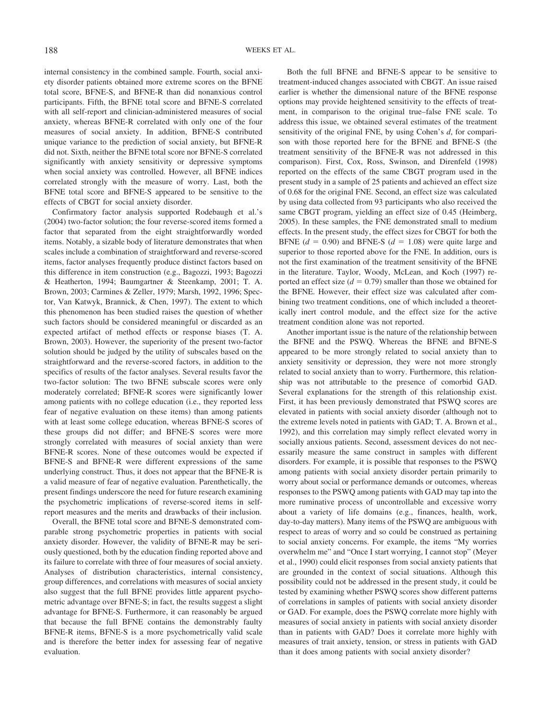internal consistency in the combined sample. Fourth, social anxiety disorder patients obtained more extreme scores on the BFNE total score, BFNE-S, and BFNE-R than did nonanxious control participants. Fifth, the BFNE total score and BFNE-S correlated with all self-report and clinician-administered measures of social anxiety, whereas BFNE-R correlated with only one of the four measures of social anxiety. In addition, BFNE-S contributed unique variance to the prediction of social anxiety, but BFNE-R did not. Sixth, neither the BFNE total score nor BFNE-S correlated significantly with anxiety sensitivity or depressive symptoms when social anxiety was controlled. However, all BFNE indices correlated strongly with the measure of worry. Last, both the BFNE total score and BFNE-S appeared to be sensitive to the effects of CBGT for social anxiety disorder.

Confirmatory factor analysis supported Rodebaugh et al.'s (2004) two-factor solution; the four reverse-scored items formed a factor that separated from the eight straightforwardly worded items. Notably, a sizable body of literature demonstrates that when scales include a combination of straightforward and reverse-scored items, factor analyses frequently produce distinct factors based on this difference in item construction (e.g., Bagozzi, 1993; Bagozzi & Heatherton, 1994; Baumgartner & Steenkamp, 2001; T. A. Brown, 2003; Carmines & Zeller, 1979; Marsh, 1992, 1996; Spector, Van Katwyk, Brannick, & Chen, 1997). The extent to which this phenomenon has been studied raises the question of whether such factors should be considered meaningful or discarded as an expected artifact of method effects or response biases (T. A. Brown, 2003). However, the superiority of the present two-factor solution should be judged by the utility of subscales based on the straightforward and the reverse-scored factors, in addition to the specifics of results of the factor analyses. Several results favor the two-factor solution: The two BFNE subscale scores were only moderately correlated; BFNE-R scores were significantly lower among patients with no college education (i.e., they reported less fear of negative evaluation on these items) than among patients with at least some college education, whereas BFNE-S scores of these groups did not differ; and BFNE-S scores were more strongly correlated with measures of social anxiety than were BFNE-R scores. None of these outcomes would be expected if BFNE-S and BFNE-R were different expressions of the same underlying construct. Thus, it does not appear that the BFNE-R is a valid measure of fear of negative evaluation. Parenthetically, the present findings underscore the need for future research examining the psychometric implications of reverse-scored items in selfreport measures and the merits and drawbacks of their inclusion.

Overall, the BFNE total score and BFNE-S demonstrated comparable strong psychometric properties in patients with social anxiety disorder. However, the validity of BFNE-R may be seriously questioned, both by the education finding reported above and its failure to correlate with three of four measures of social anxiety. Analyses of distribution characteristics, internal consistency, group differences, and correlations with measures of social anxiety also suggest that the full BFNE provides little apparent psychometric advantage over BFNE-S; in fact, the results suggest a slight advantage for BFNE-S. Furthermore, it can reasonably be argued that because the full BFNE contains the demonstrably faulty BFNE-R items, BFNE-S is a more psychometrically valid scale and is therefore the better index for assessing fear of negative evaluation.

Both the full BFNE and BFNE-S appear to be sensitive to treatment-induced changes associated with CBGT. An issue raised earlier is whether the dimensional nature of the BFNE response options may provide heightened sensitivity to the effects of treatment, in comparison to the original true–false FNE scale. To address this issue, we obtained several estimates of the treatment sensitivity of the original FNE, by using Cohen's *d*, for comparison with those reported here for the BFNE and BFNE-S (the treatment sensitivity of the BFNE-R was not addressed in this comparison). First, Cox, Ross, Swinson, and Direnfeld (1998) reported on the effects of the same CBGT program used in the present study in a sample of 25 patients and achieved an effect size of 0.68 for the original FNE. Second, an effect size was calculated by using data collected from 93 participants who also received the same CBGT program, yielding an effect size of 0.45 (Heimberg, 2005). In these samples, the FNE demonstrated small to medium effects. In the present study, the effect sizes for CBGT for both the BFNE  $(d = 0.90)$  and BFNE-S  $(d = 1.08)$  were quite large and superior to those reported above for the FNE. In addition, ours is not the first examination of the treatment sensitivity of the BFNE in the literature. Taylor, Woody, McLean, and Koch (1997) reported an effect size  $(d = 0.79)$  smaller than those we obtained for the BFNE. However, their effect size was calculated after combining two treatment conditions, one of which included a theoretically inert control module, and the effect size for the active treatment condition alone was not reported.

Another important issue is the nature of the relationship between the BFNE and the PSWQ. Whereas the BFNE and BFNE-S appeared to be more strongly related to social anxiety than to anxiety sensitivity or depression, they were not more strongly related to social anxiety than to worry. Furthermore, this relationship was not attributable to the presence of comorbid GAD. Several explanations for the strength of this relationship exist. First, it has been previously demonstrated that PSWQ scores are elevated in patients with social anxiety disorder (although not to the extreme levels noted in patients with GAD; T. A. Brown et al., 1992), and this correlation may simply reflect elevated worry in socially anxious patients. Second, assessment devices do not necessarily measure the same construct in samples with different disorders. For example, it is possible that responses to the PSWQ among patients with social anxiety disorder pertain primarily to worry about social or performance demands or outcomes, whereas responses to the PSWQ among patients with GAD may tap into the more ruminative process of uncontrollable and excessive worry about a variety of life domains (e.g., finances, health, work, day-to-day matters). Many items of the PSWQ are ambiguous with respect to areas of worry and so could be construed as pertaining to social anxiety concerns. For example, the items "My worries overwhelm me" and "Once I start worrying, I cannot stop" (Meyer et al., 1990) could elicit responses from social anxiety patients that are grounded in the context of social situations. Although this possibility could not be addressed in the present study, it could be tested by examining whether PSWQ scores show different patterns of correlations in samples of patients with social anxiety disorder or GAD. For example, does the PSWQ correlate more highly with measures of social anxiety in patients with social anxiety disorder than in patients with GAD? Does it correlate more highly with measures of trait anxiety, tension, or stress in patients with GAD than it does among patients with social anxiety disorder?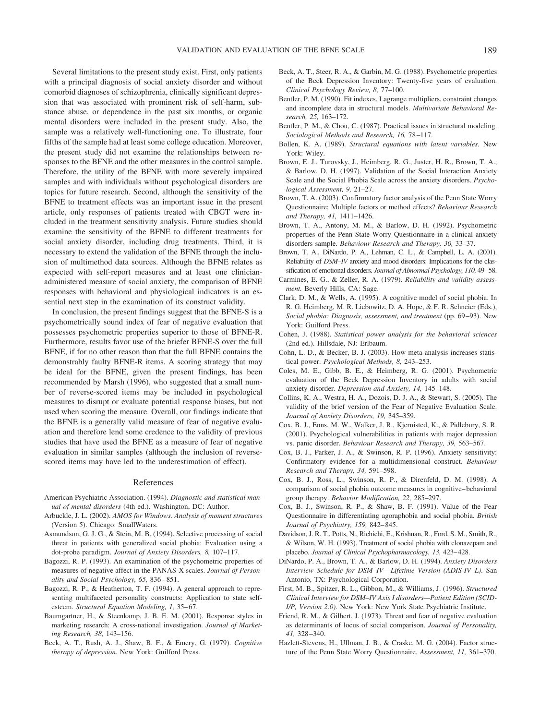Several limitations to the present study exist. First, only patients with a principal diagnosis of social anxiety disorder and without comorbid diagnoses of schizophrenia, clinically significant depression that was associated with prominent risk of self-harm, substance abuse, or dependence in the past six months, or organic mental disorders were included in the present study. Also, the sample was a relatively well-functioning one. To illustrate, four fifths of the sample had at least some college education. Moreover, the present study did not examine the relationships between responses to the BFNE and the other measures in the control sample. Therefore, the utility of the BFNE with more severely impaired samples and with individuals without psychological disorders are topics for future research. Second, although the sensitivity of the BFNE to treatment effects was an important issue in the present article, only responses of patients treated with CBGT were included in the treatment sensitivity analysis. Future studies should examine the sensitivity of the BFNE to different treatments for social anxiety disorder, including drug treatments. Third, it is necessary to extend the validation of the BFNE through the inclusion of multimethod data sources. Although the BFNE relates as expected with self-report measures and at least one clinicianadministered measure of social anxiety, the comparison of BFNE responses with behavioral and physiological indicators is an essential next step in the examination of its construct validity.

In conclusion, the present findings suggest that the BFNE-S is a psychometrically sound index of fear of negative evaluation that possesses psychometric properties superior to those of BFNE-R. Furthermore, results favor use of the briefer BFNE-S over the full BFNE, if for no other reason than that the full BFNE contains the demonstrably faulty BFNE-R items. A scoring strategy that may be ideal for the BFNE, given the present findings, has been recommended by Marsh (1996), who suggested that a small number of reverse-scored items may be included in psychological measures to disrupt or evaluate potential response biases, but not used when scoring the measure. Overall, our findings indicate that the BFNE is a generally valid measure of fear of negative evaluation and therefore lend some credence to the validity of previous studies that have used the BFNE as a measure of fear of negative evaluation in similar samples (although the inclusion of reversescored items may have led to the underestimation of effect).

# References

- American Psychiatric Association. (1994). *Diagnostic and statistical manual of mental disorders* (4th ed.). Washington, DC: Author.
- Arbuckle, J. L. (2002). *AMOS for Windows. Analysis of moment structures* (Version 5). Chicago: SmallWaters.
- Asmundson, G. J. G., & Stein, M. B. (1994). Selective processing of social threat in patients with generalized social phobia: Evaluation using a dot-probe paradigm. *Journal of Anxiety Disorders, 8,* 107–117.
- Bagozzi, R. P. (1993). An examination of the psychometric properties of measures of negative affect in the PANAS-X scales. *Journal of Personality and Social Psychology, 65,* 836 – 851.
- Bagozzi, R. P., & Heatherton, T. F. (1994). A general approach to representing multifaceted personality constructs: Application to state selfesteem. *Structural Equation Modeling, 1, 35-67*.
- Baumgartner, H., & Steenkamp, J. B. E. M. (2001). Response styles in marketing research: A cross-national investigation. *Journal of Marketing Research, 38,* 143–156.
- Beck, A. T., Rush, A. J., Shaw, B. F., & Emery, G. (1979). *Cognitive therapy of depression.* New York: Guilford Press.
- Beck, A. T., Steer, R. A., & Garbin, M. G. (1988). Psychometric properties of the Beck Depression Inventory: Twenty-five years of evaluation. *Clinical Psychology Review, 8,* 77–100.
- Bentler, P. M. (1990). Fit indexes, Lagrange multipliers, constraint changes and incomplete data in structural models. *Multivariate Behavioral Research, 25,* 163–172.
- Bentler, P. M., & Chou, C. (1987). Practical issues in structural modeling. *Sociological Methods and Research, 16,* 78 –117.
- Bollen, K. A. (1989). *Structural equations with latent variables.* New York: Wiley.
- Brown, E. J., Turovsky, J., Heimberg, R. G., Juster, H. R., Brown, T. A., & Barlow, D. H. (1997). Validation of the Social Interaction Anxiety Scale and the Social Phobia Scale across the anxiety disorders. *Psychological Assessment, 9,* 21–27.
- Brown, T. A. (2003). Confirmatory factor analysis of the Penn State Worry Questionnaire: Multiple factors or method effects? *Behaviour Research and Therapy, 41,* 1411–1426.
- Brown, T. A., Antony, M. M., & Barlow, D. H. (1992). Psychometric properties of the Penn State Worry Questionnaire in a clinical anxiety disorders sample. *Behaviour Research and Therapy, 30,* 33–37.
- Brown, T. A., DiNardo, P. A., Lehman, C. L., & Campbell, L. A. (2001). Reliability of *DSM–IV* anxiety and mood disorders: Implications for the classification of emotional disorders. *Journal of Abnormal Psychology, 110,* 49–58.
- Carmines, E. G., & Zeller, R. A. (1979). *Reliability and validity assessment.* Beverly Hills, CA: Sage.
- Clark, D. M., & Wells, A. (1995). A cognitive model of social phobia. In R. G. Heimberg, M. R. Liebowitz, D. A. Hope, & F. R. Schneier (Eds.), *Social phobia: Diagnosis, assessment, and treatment* (pp. 69 –93). New York: Guilford Press.
- Cohen, J. (1988). *Statistical power analysis for the behavioral sciences* (2nd ed.). Hillsdale, NJ: Erlbaum.
- Cohn, L. D., & Becker, B. J. (2003). How meta-analysis increases statistical power. *Psychological Methods, 8,* 243–253.
- Coles, M. E., Gibb, B. E., & Heimberg, R. G. (2001). Psychometric evaluation of the Beck Depression Inventory in adults with social anxiety disorder. *Depression and Anxiety, 14,* 145–148.
- Collins, K. A., Westra, H. A., Dozois, D. J. A., & Stewart, S. (2005). The validity of the brief version of the Fear of Negative Evaluation Scale. *Journal of Anxiety Disorders, 19,* 345–359.
- Cox, B. J., Enns, M. W., Walker, J. R., Kjernisted, K., & Pidlebury, S. R. (2001). Psychological vulnerabilities in patients with major depression vs. panic disorder. *Behaviour Research and Therapy, 39,* 563–567.
- Cox, B. J., Parker, J. A., & Swinson, R. P. (1996). Anxiety sensitivity: Confirmatory evidence for a multidimensional construct. *Behaviour Research and Therapy, 34,* 591–598.
- Cox, B. J., Ross, L., Swinson, R. P., & Direnfeld, D. M. (1998). A comparison of social phobia outcome measures in cognitive– behavioral group therapy. *Behavior Modification, 22,* 285–297.
- Cox, B. J., Swinson, R. P., & Shaw, B. F. (1991). Value of the Fear Questionnaire in differentiating agoraphobia and social phobia. *British Journal of Psychiatry, 159,* 842– 845.
- Davidson, J. R. T., Potts, N., Richichi, E., Krishnan, R., Ford, S. M., Smith, R., & Wilson, W. H. (1993). Treatment of social phobia with clonazepam and placebo. *Journal of Clinical Psychopharmacology, 13,* 423– 428.
- DiNardo, P. A., Brown, T. A., & Barlow, D. H. (1994). *Anxiety Disorders Interview Schedule for DSM–IV*—*Lifetime Version (ADIS-IV–L)*. San Antonio, TX: Psychological Corporation.
- First, M. B., Spitzer, R. L., Gibbon, M., & Williams, J. (1996). *Structured Clinical Interview for DSM–IV Axis I disorders—Patient Edition (SCID-I/P, Version 2.0)*. New York: New York State Psychiatric Institute.
- Friend, R. M., & Gilbert, J. (1973). Threat and fear of negative evaluation as determinants of locus of social comparison. *Journal of Personality, 41,* 328 –340.
- Hazlett-Stevens, H., Ullman, J. B., & Craske, M. G. (2004). Factor structure of the Penn State Worry Questionnaire. *Assessment, 11,* 361–370.